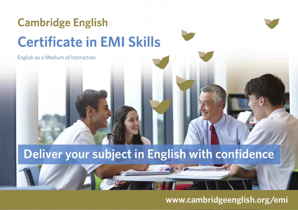## **Cambridge English Certificate in EMI Skills**

English as a Medium of Instruction

## **Deliver your subject in English with confidence**

**www.cambridgeenglish.org/emi**